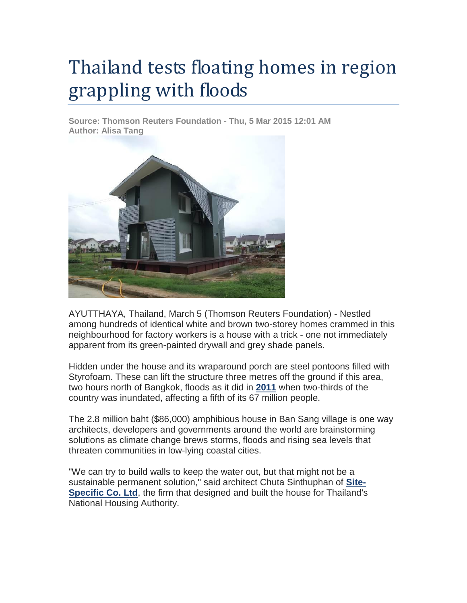# Thailand tests floating homes in region grappling with floods

**Source: Thomson Reuters Foundation - Thu, 5 Mar 2015 12:01 AM Author: Alisa Tang**



AYUTTHAYA, Thailand, March 5 (Thomson Reuters Foundation) - Nestled among hundreds of identical white and brown two-storey homes crammed in this neighbourhood for factory workers is a house with a trick - one not immediately apparent from its green-painted drywall and grey shade panels.

Hidden under the house and its wraparound porch are steel pontoons filled with Styrofoam. These can lift the structure three metres off the ground if this area, two hours north of Bangkok, floods as it did in **[2011](http://www.thaiwater.net/web/index.php/ourworks2554/379-2011flood-summary.html)** when two-thirds of the country was inundated, affecting a fifth of its 67 million people.

The 2.8 million baht (\$86,000) amphibious house in Ban Sang village is one way architects, developers and governments around the world are brainstorming solutions as climate change brews storms, floods and rising sea levels that threaten communities in low-lying coastal cities.

"We can try to build walls to keep the water out, but that might not be a sustainable permanent solution," said architect Chuta Sinthuphan of **[Site-](http://www.asitespecificexperiment.com/)[Specific Co. Ltd](http://www.asitespecificexperiment.com/)**, the firm that designed and built the house for Thailand's National Housing Authority.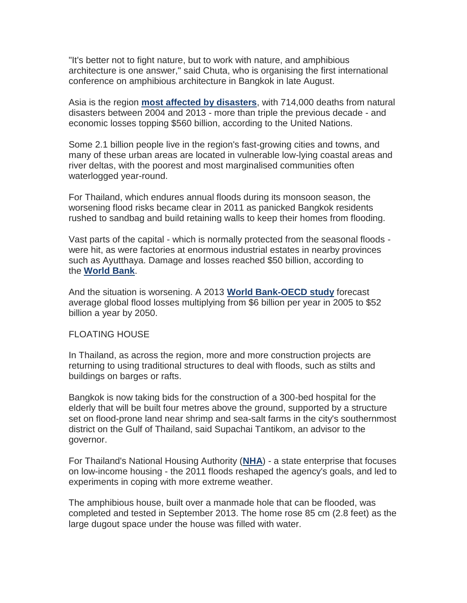"It's better not to fight nature, but to work with nature, and amphibious architecture is one answer," said Chuta, who is organising the first international conference on amphibious architecture in Bangkok in late August.

Asia is the region **[most affected by disasters](http://www.un.org/apps/news/story.asp?NewsID=49642#.VNx1K_mUeSo)**, with 714,000 deaths from natural disasters between 2004 and 2013 - more than triple the previous decade - and economic losses topping \$560 billion, according to the United Nations.

Some 2.1 billion people live in the region's fast-growing cities and towns, and many of these urban areas are located in vulnerable low-lying coastal areas and river deltas, with the poorest and most marginalised communities often waterlogged year-round.

For Thailand, which endures annual floods during its monsoon season, the worsening flood risks became clear in 2011 as panicked Bangkok residents rushed to sandbag and build retaining walls to keep their homes from flooding.

Vast parts of the capital - which is normally protected from the seasonal floods were hit, as were factories at enormous industrial estates in nearby provinces such as Ayutthaya. Damage and losses reached \$50 billion, according to the **[World Bank](http://www.gfdrr.org/sites/gfdrr/files/publication/Thai_Flood_2011_2.pdf)**.

And the situation is worsening. A 2013 **[World Bank-OECD study](http://www.worldbank.org/en/news/feature/2013/08/19/coastal-cities-at-highest-risk-floods)** forecast average global flood losses multiplying from \$6 billion per year in 2005 to \$52 billion a year by 2050.

### FLOATING HOUSE

In Thailand, as across the region, more and more construction projects are returning to using traditional structures to deal with floods, such as stilts and buildings on barges or rafts.

Bangkok is now taking bids for the construction of a 300-bed hospital for the elderly that will be built four metres above the ground, supported by a structure set on flood-prone land near shrimp and sea-salt farms in the city's southernmost district on the Gulf of Thailand, said Supachai Tantikom, an advisor to the governor.

For Thailand's National Housing Authority (**[NHA](http://eng.nha.co.th/)**) - a state enterprise that focuses on low-income housing - the 2011 floods reshaped the agency's goals, and led to experiments in coping with more extreme weather.

The amphibious house, built over a manmade hole that can be flooded, was completed and tested in September 2013. The home rose 85 cm (2.8 feet) as the large dugout space under the house was filled with water.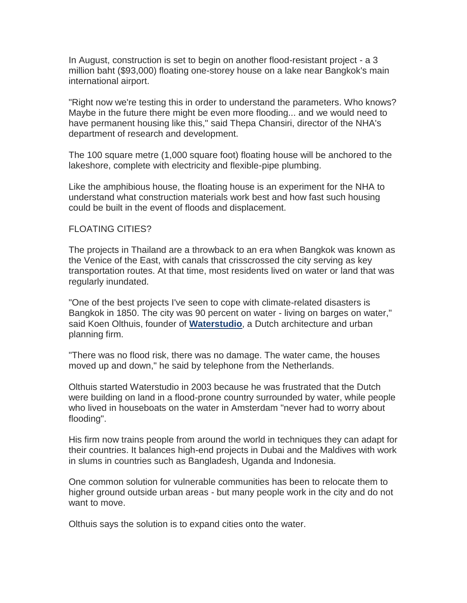In August, construction is set to begin on another flood-resistant project - a 3 million baht (\$93,000) floating one-storey house on a lake near Bangkok's main international airport.

"Right now we're testing this in order to understand the parameters. Who knows? Maybe in the future there might be even more flooding... and we would need to have permanent housing like this," said Thepa Chansiri, director of the NHA's department of research and development.

The 100 square metre (1,000 square foot) floating house will be anchored to the lakeshore, complete with electricity and flexible-pipe plumbing.

Like the amphibious house, the floating house is an experiment for the NHA to understand what construction materials work best and how fast such housing could be built in the event of floods and displacement.

### FLOATING CITIES?

The projects in Thailand are a throwback to an era when Bangkok was known as the Venice of the East, with canals that crisscrossed the city serving as key transportation routes. At that time, most residents lived on water or land that was regularly inundated.

"One of the best projects I've seen to cope with climate-related disasters is Bangkok in 1850. The city was 90 percent on water - living on barges on water," said Koen Olthuis, founder of **[Waterstudio](http://www.waterstudio.nl/)**, a Dutch architecture and urban planning firm.

"There was no flood risk, there was no damage. The water came, the houses moved up and down," he said by telephone from the Netherlands.

Olthuis started Waterstudio in 2003 because he was frustrated that the Dutch were building on land in a flood-prone country surrounded by water, while people who lived in houseboats on the water in Amsterdam "never had to worry about flooding".

His firm now trains people from around the world in techniques they can adapt for their countries. It balances high-end projects in Dubai and the Maldives with work in slums in countries such as Bangladesh, Uganda and Indonesia.

One common solution for vulnerable communities has been to relocate them to higher ground outside urban areas - but many people work in the city and do not want to move.

Olthuis says the solution is to expand cities onto the water.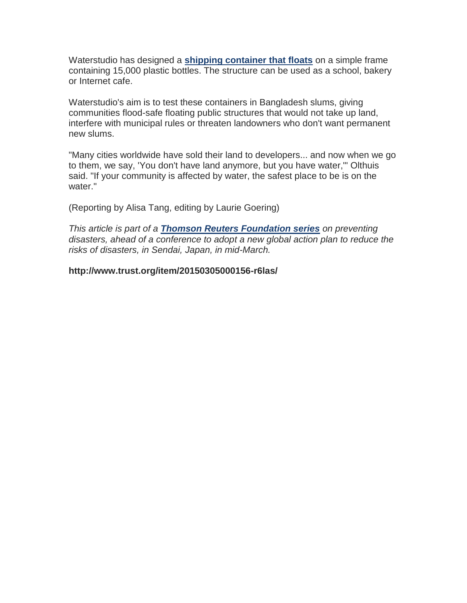Waterstudio has designed a **[shipping container that floats](http://www.waterstudio.nl/archive/898)** on a simple frame containing 15,000 plastic bottles. The structure can be used as a school, bakery or Internet cafe.

Waterstudio's aim is to test these containers in Bangladesh slums, giving communities flood-safe floating public structures that would not take up land, interfere with municipal rules or threaten landowners who don't want permanent new slums.

"Many cities worldwide have sold their land to developers... and now when we go to them, we say, 'You don't have land anymore, but you have water,'" Olthuis said. "If your community is affected by water, the safest place to be is on the water."

(Reporting by Alisa Tang, editing by Laurie Goering)

*This article is part of a [Thomson Reuters Foundation series](http://www.trust.org/spotlight/Disaster-risk/) on preventing disasters, ahead of a conference to adopt a new global action plan to reduce the risks of disasters, in Sendai, Japan, in mid-March.*

**http://www.trust.org/item/20150305000156-r6las/**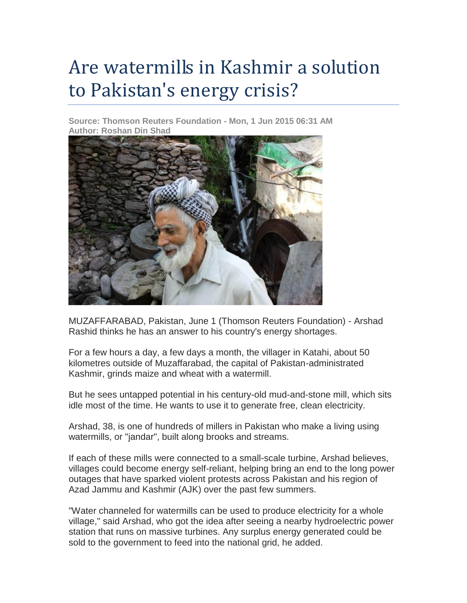## Are watermills in Kashmir a solution to Pakistan's energy crisis?

**Source: Thomson Reuters Foundation - Mon, 1 Jun 2015 06:31 AM Author: Roshan Din Shad**



MUZAFFARABAD, Pakistan, June 1 (Thomson Reuters Foundation) - Arshad Rashid thinks he has an answer to his country's energy shortages.

For a few hours a day, a few days a month, the villager in Katahi, about 50 kilometres outside of Muzaffarabad, the capital of Pakistan-administrated Kashmir, grinds maize and wheat with a watermill.

But he sees untapped potential in his century-old mud-and-stone mill, which sits idle most of the time. He wants to use it to generate free, clean electricity.

Arshad, 38, is one of hundreds of millers in Pakistan who make a living using watermills, or "jandar", built along brooks and streams.

If each of these mills were connected to a small-scale turbine, Arshad believes, villages could become energy self-reliant, helping bring an end to the long power outages that have sparked violent protests across Pakistan and his region of Azad Jammu and Kashmir (AJK) over the past few summers.

"Water channeled for watermills can be used to produce electricity for a whole village," said Arshad, who got the idea after seeing a nearby hydroelectric power station that runs on massive turbines. Any surplus energy generated could be sold to the government to feed into the national grid, he added.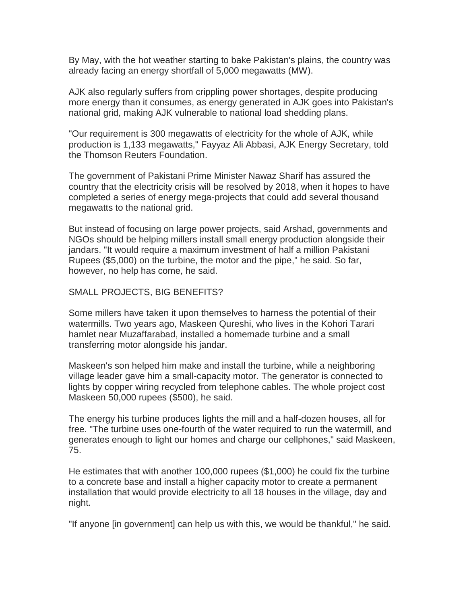By May, with the hot weather starting to bake Pakistan's plains, the country was already facing an energy shortfall of 5,000 megawatts (MW).

AJK also regularly suffers from crippling power shortages, despite producing more energy than it consumes, as energy generated in AJK goes into Pakistan's national grid, making AJK vulnerable to national load shedding plans.

"Our requirement is 300 megawatts of electricity for the whole of AJK, while production is 1,133 megawatts," Fayyaz Ali Abbasi, AJK Energy Secretary, told the Thomson Reuters Foundation.

The government of Pakistani Prime Minister Nawaz Sharif has assured the country that the electricity crisis will be resolved by 2018, when it hopes to have completed a series of energy mega-projects that could add several thousand megawatts to the national grid.

But instead of focusing on large power projects, said Arshad, governments and NGOs should be helping millers install small energy production alongside their jandars. "It would require a maximum investment of half a million Pakistani Rupees (\$5,000) on the turbine, the motor and the pipe," he said. So far, however, no help has come, he said.

### SMALL PROJECTS, BIG BENEFITS?

Some millers have taken it upon themselves to harness the potential of their watermills. Two years ago, Maskeen Qureshi, who lives in the Kohori Tarari hamlet near Muzaffarabad, installed a homemade turbine and a small transferring motor alongside his jandar.

Maskeen's son helped him make and install the turbine, while a neighboring village leader gave him a small-capacity motor. The generator is connected to lights by copper wiring recycled from telephone cables. The whole project cost Maskeen 50,000 rupees (\$500), he said.

The energy his turbine produces lights the mill and a half-dozen houses, all for free. "The turbine uses one-fourth of the water required to run the watermill, and generates enough to light our homes and charge our cellphones," said Maskeen, 75.

He estimates that with another 100,000 rupees (\$1,000) he could fix the turbine to a concrete base and install a higher capacity motor to create a permanent installation that would provide electricity to all 18 houses in the village, day and night.

"If anyone [in government] can help us with this, we would be thankful," he said.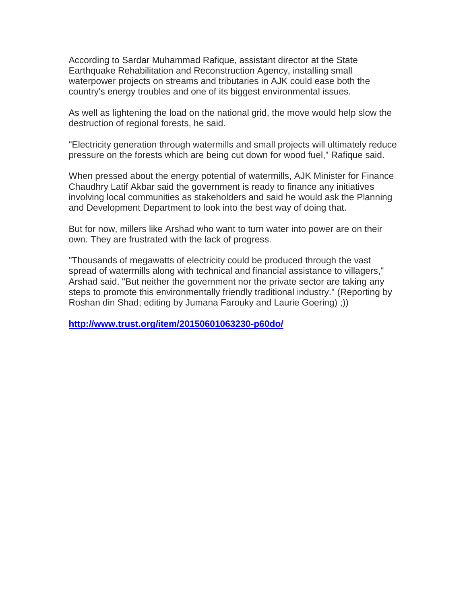According to Sardar Muhammad Rafique, assistant director at the State Earthquake Rehabilitation and Reconstruction Agency, installing small waterpower projects on streams and tributaries in AJK could ease both the country's energy troubles and one of its biggest environmental issues.

As well as lightening the load on the national grid, the move would help slow the destruction of regional forests, he said.

"Electricity generation through watermills and small projects will ultimately reduce pressure on the forests which are being cut down for wood fuel," Rafique said.

When pressed about the energy potential of watermills, AJK Minister for Finance Chaudhry Latif Akbar said the government is ready to finance any initiatives involving local communities as stakeholders and said he would ask the Planning and Development Department to look into the best way of doing that.

But for now, millers like Arshad who want to turn water into power are on their own. They are frustrated with the lack of progress.

"Thousands of megawatts of electricity could be produced through the vast spread of watermills along with technical and financial assistance to villagers," Arshad said. "But neither the government nor the private sector are taking any steps to promote this environmentally friendly traditional industry." (Reporting by Roshan din Shad; editing by Jumana Farouky and Laurie Goering) ;))

**<http://www.trust.org/item/20150601063230-p60do/>**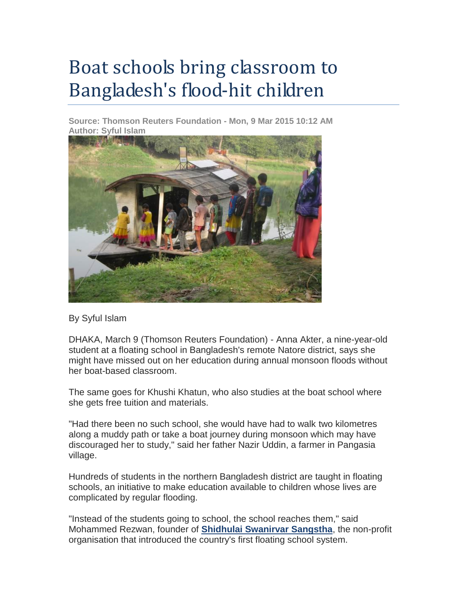## Boat schools bring classroom to Bangladesh's flood-hit children

**Source: Thomson Reuters Foundation - Mon, 9 Mar 2015 10:12 AM Author: Syful Islam**



### By Syful Islam

DHAKA, March 9 (Thomson Reuters Foundation) - Anna Akter, a nine-year-old student at a floating school in Bangladesh's remote Natore district, says she might have missed out on her education during annual monsoon floods without her boat-based classroom.

The same goes for Khushi Khatun, who also studies at the boat school where she gets free tuition and materials.

"Had there been no such school, she would have had to walk two kilometres along a muddy path or take a boat journey during monsoon which may have discouraged her to study," said her father Nazir Uddin, a farmer in Pangasia village.

Hundreds of students in the northern Bangladesh district are taught in floating schools, an initiative to make education available to children whose lives are complicated by regular flooding.

"Instead of the students going to school, the school reaches them," said Mohammed Rezwan, founder of **[Shidhulai Swanirvar Sangstha](http://www.shidhulai.org/)**, the non-profit organisation that introduced the country's first floating school system.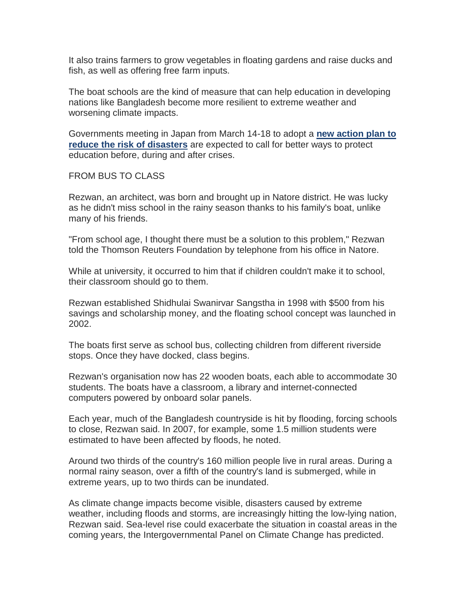It also trains farmers to grow vegetables in floating gardens and raise ducks and fish, as well as offering free farm inputs.

The boat schools are the kind of measure that can help education in developing nations like Bangladesh become more resilient to extreme weather and worsening climate impacts.

Governments meeting in Japan from March 14-18 to adopt a **[new action plan to](http://www.wcdrr.org/)  [reduce the risk of disasters](http://www.wcdrr.org/)** are expected to call for better ways to protect education before, during and after crises.

FROM BUS TO CLASS

Rezwan, an architect, was born and brought up in Natore district. He was lucky as he didn't miss school in the rainy season thanks to his family's boat, unlike many of his friends.

"From school age, I thought there must be a solution to this problem," Rezwan told the Thomson Reuters Foundation by telephone from his office in Natore.

While at university, it occurred to him that if children couldn't make it to school, their classroom should go to them.

Rezwan established Shidhulai Swanirvar Sangstha in 1998 with \$500 from his savings and scholarship money, and the floating school concept was launched in 2002.

The boats first serve as school bus, collecting children from different riverside stops. Once they have docked, class begins.

Rezwan's organisation now has 22 wooden boats, each able to accommodate 30 students. The boats have a classroom, a library and internet-connected computers powered by onboard solar panels.

Each year, much of the Bangladesh countryside is hit by flooding, forcing schools to close, Rezwan said. In 2007, for example, some 1.5 million students were estimated to have been affected by floods, he noted.

Around two thirds of the country's 160 million people live in rural areas. During a normal rainy season, over a fifth of the country's land is submerged, while in extreme years, up to two thirds can be inundated.

As climate change impacts become visible, disasters caused by extreme weather, including floods and storms, are increasingly hitting the low-lying nation, Rezwan said. Sea-level rise could exacerbate the situation in coastal areas in the coming years, the Intergovernmental Panel on Climate Change has predicted.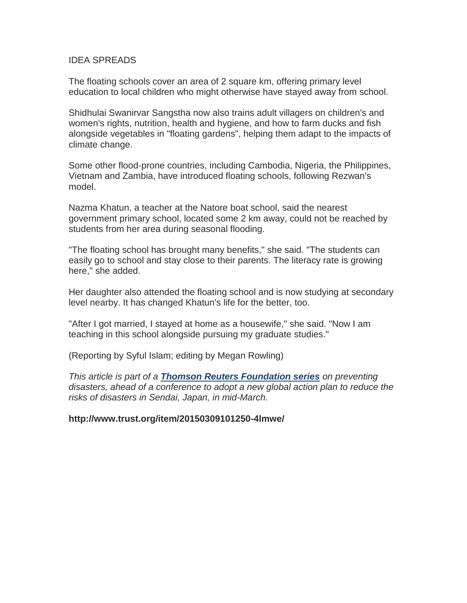### IDEA SPREADS

The floating schools cover an area of 2 square km, offering primary level education to local children who might otherwise have stayed away from school.

Shidhulai Swanirvar Sangstha now also trains adult villagers on children's and women's rights, nutrition, health and hygiene, and how to farm ducks and fish alongside vegetables in "floating gardens", helping them adapt to the impacts of climate change.

Some other flood-prone countries, including Cambodia, Nigeria, the Philippines, Vietnam and Zambia, have introduced floating schools, following Rezwan's model.

Nazma Khatun, a teacher at the Natore boat school, said the nearest government primary school, located some 2 km away, could not be reached by students from her area during seasonal flooding.

"The floating school has brought many benefits," she said. "The students can easily go to school and stay close to their parents. The literacy rate is growing here," she added.

Her daughter also attended the floating school and is now studying at secondary level nearby. It has changed Khatun's life for the better, too.

"After I got married, I stayed at home as a housewife," she said. "Now I am teaching in this school alongside pursuing my graduate studies."

(Reporting by Syful Islam; editing by Megan Rowling)

*This article is part of a [Thomson Reuters Foundation series](http://www.trust.org/spotlight/Disaster-risk/) on preventing disasters, ahead of a conference to adopt a new global action plan to reduce the risks of disasters in Sendai, Japan, in mid-March.*

**http://www.trust.org/item/20150309101250-4lmwe/**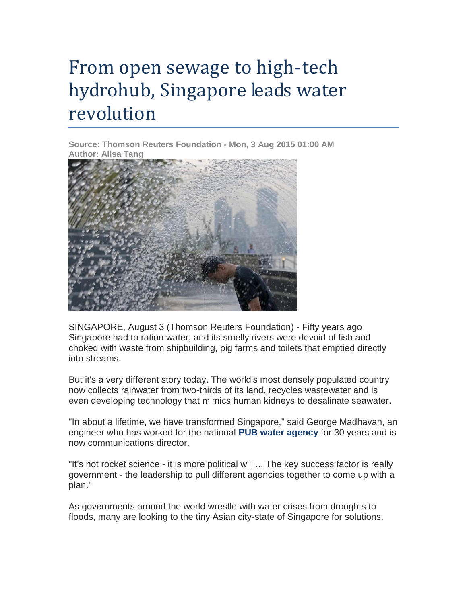### From open sewage to high-tech hydrohub, Singapore leads water revolution

**Source: Thomson Reuters Foundation - Mon, 3 Aug 2015 01:00 AM Author: Alisa Tang**



SINGAPORE, August 3 (Thomson Reuters Foundation) - Fifty years ago Singapore had to ration water, and its smelly rivers were devoid of fish and choked with waste from shipbuilding, pig farms and toilets that emptied directly into streams.

But it's a very different story today. The world's most densely populated country now collects rainwater from two-thirds of its land, recycles wastewater and is even developing technology that mimics human kidneys to desalinate seawater.

"In about a lifetime, we have transformed Singapore," said George Madhavan, an engineer who has worked for the national **[PUB water agency](http://www.pub.gov.sg/Pages/default.aspx)** for 30 years and is now communications director.

"It's not rocket science - it is more political will ... The key success factor is really government - the leadership to pull different agencies together to come up with a plan."

As governments around the world wrestle with water crises from droughts to floods, many are looking to the tiny Asian city-state of Singapore for solutions.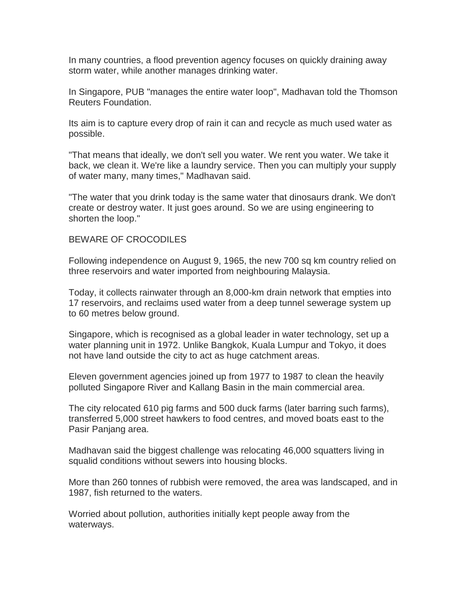In many countries, a flood prevention agency focuses on quickly draining away storm water, while another manages drinking water.

In Singapore, PUB "manages the entire water loop", Madhavan told the Thomson Reuters Foundation.

Its aim is to capture every drop of rain it can and recycle as much used water as possible.

"That means that ideally, we don't sell you water. We rent you water. We take it back, we clean it. We're like a laundry service. Then you can multiply your supply of water many, many times," Madhavan said.

"The water that you drink today is the same water that dinosaurs drank. We don't create or destroy water. It just goes around. So we are using engineering to shorten the loop."

### BEWARE OF CROCODILES

Following independence on August 9, 1965, the new 700 sq km country relied on three reservoirs and water imported from neighbouring Malaysia.

Today, it collects rainwater through an 8,000-km drain network that empties into 17 reservoirs, and reclaims used water from a deep tunnel sewerage system up to 60 metres below ground.

Singapore, which is recognised as a global leader in water technology, set up a water planning unit in 1972. Unlike Bangkok, Kuala Lumpur and Tokyo, it does not have land outside the city to act as huge catchment areas.

Eleven government agencies joined up from 1977 to 1987 to clean the heavily polluted Singapore River and Kallang Basin in the main commercial area.

The city relocated 610 pig farms and 500 duck farms (later barring such farms), transferred 5,000 street hawkers to food centres, and moved boats east to the Pasir Panjang area.

Madhavan said the biggest challenge was relocating 46,000 squatters living in squalid conditions without sewers into housing blocks.

More than 260 tonnes of rubbish were removed, the area was landscaped, and in 1987, fish returned to the waters.

Worried about pollution, authorities initially kept people away from the waterways.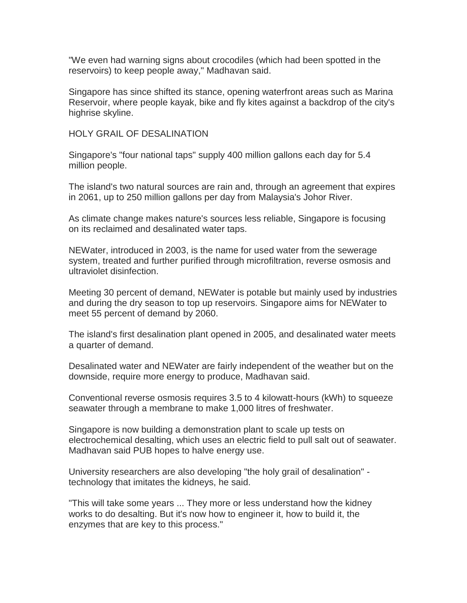"We even had warning signs about crocodiles (which had been spotted in the reservoirs) to keep people away," Madhavan said.

Singapore has since shifted its stance, opening waterfront areas such as Marina Reservoir, where people kayak, bike and fly kites against a backdrop of the city's highrise skyline.

### HOLY GRAIL OF DESALINATION

Singapore's "four national taps" supply 400 million gallons each day for 5.4 million people.

The island's two natural sources are rain and, through an agreement that expires in 2061, up to 250 million gallons per day from Malaysia's Johor River.

As climate change makes nature's sources less reliable, Singapore is focusing on its reclaimed and desalinated water taps.

NEWater, introduced in 2003, is the name for used water from the sewerage system, treated and further purified through microfiltration, reverse osmosis and ultraviolet disinfection.

Meeting 30 percent of demand, NEWater is potable but mainly used by industries and during the dry season to top up reservoirs. Singapore aims for NEWater to meet 55 percent of demand by 2060.

The island's first desalination plant opened in 2005, and desalinated water meets a quarter of demand.

Desalinated water and NEWater are fairly independent of the weather but on the downside, require more energy to produce, Madhavan said.

Conventional reverse osmosis requires 3.5 to 4 kilowatt-hours (kWh) to squeeze seawater through a membrane to make 1,000 litres of freshwater.

Singapore is now building a demonstration plant to scale up tests on electrochemical desalting, which uses an electric field to pull salt out of seawater. Madhavan said PUB hopes to halve energy use.

University researchers are also developing "the holy grail of desalination" technology that imitates the kidneys, he said.

"This will take some years ... They more or less understand how the kidney works to do desalting. But it's now how to engineer it, how to build it, the enzymes that are key to this process."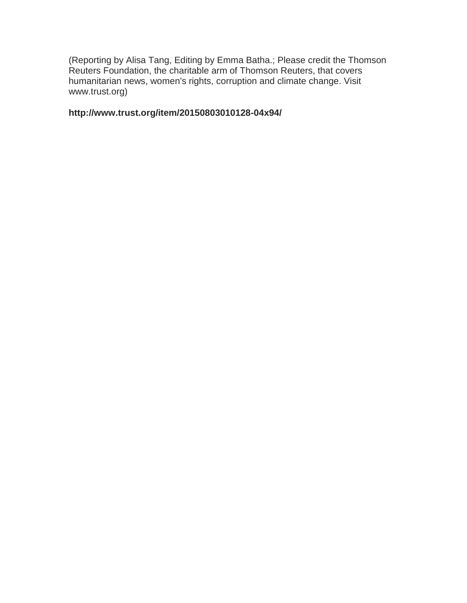(Reporting by Alisa Tang, Editing by Emma Batha.; Please credit the Thomson Reuters Foundation, the charitable arm of Thomson Reuters, that covers humanitarian news, women's rights, corruption and climate change. Visit www.trust.org)

### **http://www.trust.org/item/20150803010128-04x94/**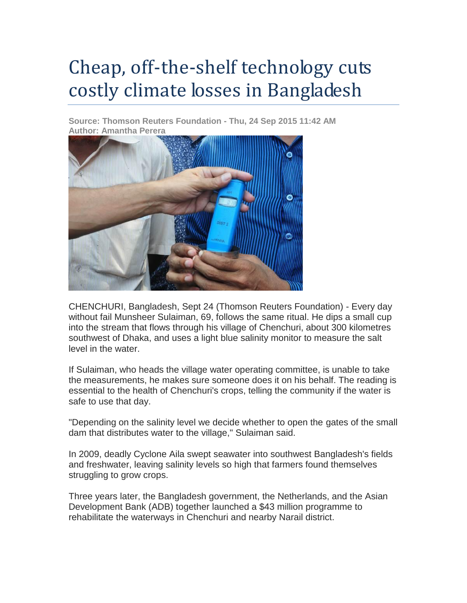## Cheap, off-the-shelf technology cuts costly climate losses in Bangladesh

**Source: Thomson Reuters Foundation - Thu, 24 Sep 2015 11:42 AM Author: Amantha Perera**



CHENCHURI, Bangladesh, Sept 24 (Thomson Reuters Foundation) - Every day without fail Munsheer Sulaiman, 69, follows the same ritual. He dips a small cup into the stream that flows through his village of Chenchuri, about 300 kilometres southwest of Dhaka, and uses a light blue salinity monitor to measure the salt level in the water.

If Sulaiman, who heads the village water operating committee, is unable to take the measurements, he makes sure someone does it on his behalf. The reading is essential to the health of Chenchuri's crops, telling the community if the water is safe to use that day.

"Depending on the salinity level we decide whether to open the gates of the small dam that distributes water to the village," Sulaiman said.

In 2009, deadly Cyclone Aila swept seawater into southwest Bangladesh's fields and freshwater, leaving salinity levels so high that farmers found themselves struggling to grow crops.

Three years later, the Bangladesh government, the Netherlands, and the Asian Development Bank (ADB) together launched a \$43 million programme to rehabilitate the waterways in Chenchuri and nearby Narail district.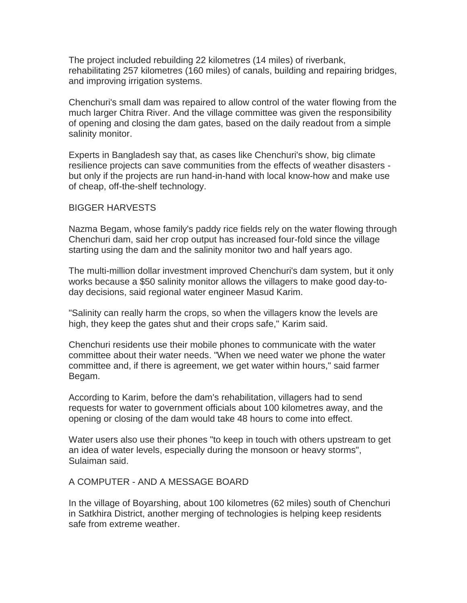The project included rebuilding 22 kilometres (14 miles) of riverbank, rehabilitating 257 kilometres (160 miles) of canals, building and repairing bridges, and improving irrigation systems.

Chenchuri's small dam was repaired to allow control of the water flowing from the much larger Chitra River. And the village committee was given the responsibility of opening and closing the dam gates, based on the daily readout from a simple salinity monitor.

Experts in Bangladesh say that, as cases like Chenchuri's show, big climate resilience projects can save communities from the effects of weather disasters but only if the projects are run hand-in-hand with local know-how and make use of cheap, off-the-shelf technology.

### BIGGER HARVESTS

Nazma Begam, whose family's paddy rice fields rely on the water flowing through Chenchuri dam, said her crop output has increased four-fold since the village starting using the dam and the salinity monitor two and half years ago.

The multi-million dollar investment improved Chenchuri's dam system, but it only works because a \$50 salinity monitor allows the villagers to make good day-today decisions, said regional water engineer Masud Karim.

"Salinity can really harm the crops, so when the villagers know the levels are high, they keep the gates shut and their crops safe," Karim said.

Chenchuri residents use their mobile phones to communicate with the water committee about their water needs. "When we need water we phone the water committee and, if there is agreement, we get water within hours," said farmer Begam.

According to Karim, before the dam's rehabilitation, villagers had to send requests for water to government officials about 100 kilometres away, and the opening or closing of the dam would take 48 hours to come into effect.

Water users also use their phones "to keep in touch with others upstream to get an idea of water levels, especially during the monsoon or heavy storms", Sulaiman said.

### A COMPUTER - AND A MESSAGE BOARD

In the village of Boyarshing, about 100 kilometres (62 miles) south of Chenchuri in Satkhira District, another merging of technologies is helping keep residents safe from extreme weather.